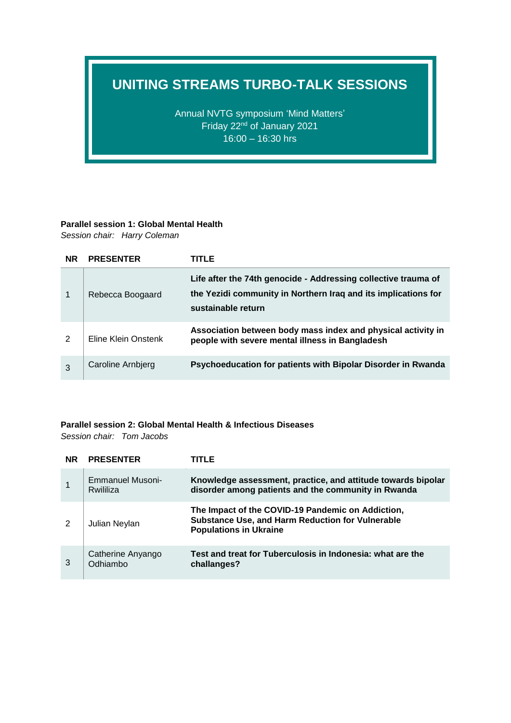## **UNITING STREAMS TURBO-TALK SESSIONS**

Annual NVTG symposium 'Mind Matters' Friday 22nd of January 2021 16:00 – 16:30 hrs

### **Parallel session 1: Global Mental Health**

*Session chair: Harry Coleman*

| <b>NR</b> | <b>PRESENTER</b>    | TITLE                                                                                                                                                  |
|-----------|---------------------|--------------------------------------------------------------------------------------------------------------------------------------------------------|
|           | Rebecca Boogaard    | Life after the 74th genocide - Addressing collective trauma of<br>the Yezidi community in Northern Iraq and its implications for<br>sustainable return |
| 2         | Eline Klein Onstenk | Association between body mass index and physical activity in<br>people with severe mental illness in Bangladesh                                        |
| 3         | Caroline Arnbjerg   | Psychoeducation for patients with Bipolar Disorder in Rwanda                                                                                           |

#### **Parallel session 2: Global Mental Health & Infectious Diseases**

*Session chair: Tom Jacobs*

| <b>NR</b> | <b>PRESENTER</b>              | TITLE                                                                                                                                  |
|-----------|-------------------------------|----------------------------------------------------------------------------------------------------------------------------------------|
|           | Emmanuel Musoni-<br>Rwililiza | Knowledge assessment, practice, and attitude towards bipolar<br>disorder among patients and the community in Rwanda                    |
| 2         | Julian Neylan                 | The Impact of the COVID-19 Pandemic on Addiction,<br>Substance Use, and Harm Reduction for Vulnerable<br><b>Populations in Ukraine</b> |
| 3         | Catherine Anyango<br>Odhiambo | Test and treat for Tuberculosis in Indonesia: what are the<br>challanges?                                                              |